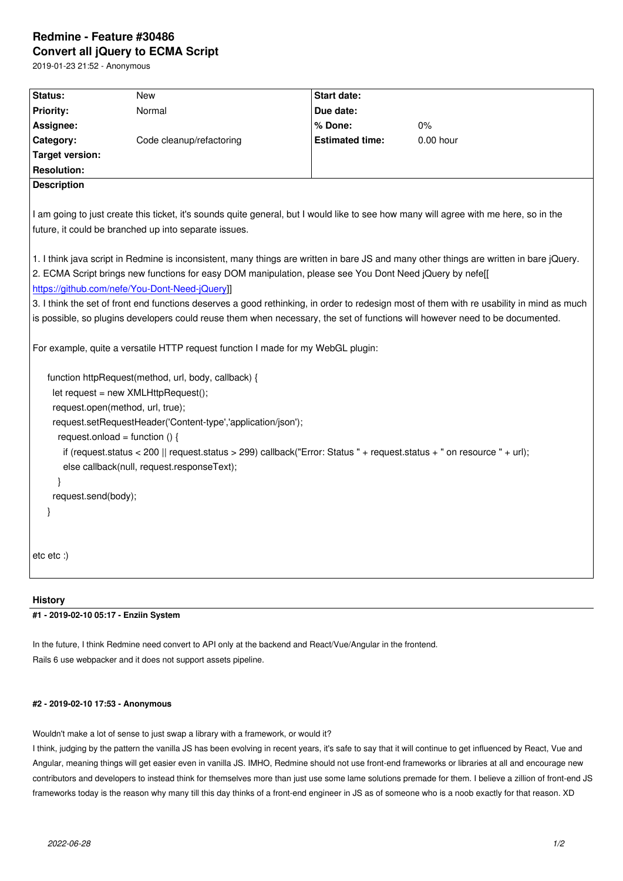## **Convert all jQuery to ECMA Script**

2019-01-23 21:52 - Anonymous

| Status:                                                                                                                                                                                                                                                                                               | <b>New</b>               | <b>Start date:</b>     |             |
|-------------------------------------------------------------------------------------------------------------------------------------------------------------------------------------------------------------------------------------------------------------------------------------------------------|--------------------------|------------------------|-------------|
| Priority:                                                                                                                                                                                                                                                                                             | Normal                   | Due date:              |             |
| Assignee:                                                                                                                                                                                                                                                                                             |                          | % Done:                | $0\%$       |
| Category:                                                                                                                                                                                                                                                                                             | Code cleanup/refactoring | <b>Estimated time:</b> | $0.00$ hour |
| <b>Target version:</b>                                                                                                                                                                                                                                                                                |                          |                        |             |
| <b>Resolution:</b>                                                                                                                                                                                                                                                                                    |                          |                        |             |
| <b>Description</b>                                                                                                                                                                                                                                                                                    |                          |                        |             |
| I am going to just create this ticket, it's sounds quite general, but I would like to see how many will agree with me here, so in the<br>future, it could be branched up into separate issues.                                                                                                        |                          |                        |             |
| 1. I think java script in Redmine is inconsistent, many things are written in bare JS and many other things are written in bare jQuery.<br>2. ECMA Script brings new functions for easy DOM manipulation, please see You Dont Need jQuery by nefe[[<br>https://github.com/nefe/You-Dont-Need-jQuery]] |                          |                        |             |
| 3. I think the set of front end functions deserves a good rethinking, in order to redesign most of them with re usability in mind as much                                                                                                                                                             |                          |                        |             |
| is possible, so plugins developers could reuse them when necessary, the set of functions will however need to be documented.                                                                                                                                                                          |                          |                        |             |
| For example, quite a versatile HTTP request function I made for my WebGL plugin:<br>function httpRequest(method, url, body, callback) {                                                                                                                                                               |                          |                        |             |
| let request = new XMLHttpRequest();                                                                                                                                                                                                                                                                   |                          |                        |             |
| request.open(method, url, true);                                                                                                                                                                                                                                                                      |                          |                        |             |
| request.setRequestHeader('Content-type','application/json');                                                                                                                                                                                                                                          |                          |                        |             |
| request.onload = function () {                                                                                                                                                                                                                                                                        |                          |                        |             |
| if (request.status < 200    request.status > 299) callback("Error: Status " + request.status + " on resource " + url);                                                                                                                                                                                |                          |                        |             |
| else callback(null, request.responseText);                                                                                                                                                                                                                                                            |                          |                        |             |
|                                                                                                                                                                                                                                                                                                       |                          |                        |             |
| request.send(body);                                                                                                                                                                                                                                                                                   |                          |                        |             |
| ł                                                                                                                                                                                                                                                                                                     |                          |                        |             |
|                                                                                                                                                                                                                                                                                                       |                          |                        |             |
| $etc.$ etc $:$                                                                                                                                                                                                                                                                                        |                          |                        |             |

## **History**

**#1 - 2019-02-10 05:17 - Enziin System**

In the future, I think Redmine need convert to API only at the backend and React/Vue/Angular in the frontend. Rails 6 use webpacker and it does not support assets pipeline.

## **#2 - 2019-02-10 17:53 - Anonymous**

Wouldn't make a lot of sense to just swap a library with a framework, or would it?

I think, judging by the pattern the vanilla JS has been evolving in recent years, it's safe to say that it will continue to get influenced by React, Vue and Angular, meaning things will get easier even in vanilla JS. IMHO, Redmine should not use front-end frameworks or libraries at all and encourage new contributors and developers to instead think for themselves more than just use some lame solutions premade for them. I believe a zillion of front-end JS frameworks today is the reason why many till this day thinks of a front-end engineer in JS as of someone who is a noob exactly for that reason. XD